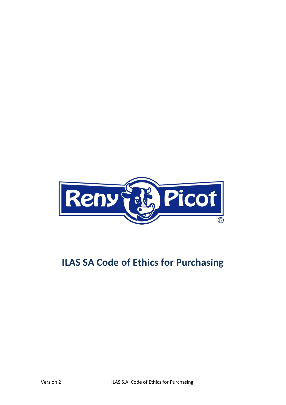

# **ILAS SA Code of Ethics for Purchasing**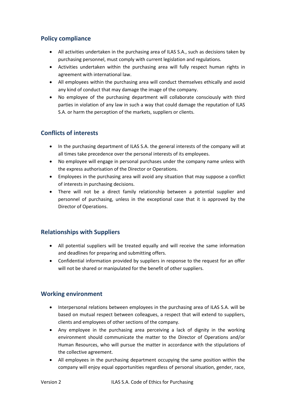### **Policy compliance**

- All activities undertaken in the purchasing area of ILAS S.A., such as decisions taken by purchasing personnel, must comply with current legislation and regulations.
- Activities undertaken within the purchasing area will fully respect human rights in agreement with international law.
- All employees within the purchasing area will conduct themselves ethically and avoid any kind of conduct that may damage the image of the company.
- No employee of the purchasing department will collaborate consciously with third parties in violation of any law in such a way that could damage the reputation of ILAS S.A. or harm the perception of the markets, suppliers or clients.

## **Conflicts of interests**

- In the purchasing department of ILAS S.A. the general interests of the company will at all times take precedence over the personal interests of its employees.
- No employee will engage in personal purchases under the company name unless with the express authorisation of the Director or Operations.
- Employees in the purchasing area will avoid any situation that may suppose a conflict of interests in purchasing decisions.
- There will not be a direct family relationship between a potential supplier and personnel of purchasing, unless in the exceptional case that it is approved by the Director of Operations.

## **Relationships with Suppliers**

- All potential suppliers will be treated equally and will receive the same information and deadlines for preparing and submitting offers.
- Confidential information provided by suppliers in response to the request for an offer will not be shared or manipulated for the benefit of other suppliers.

#### **Working environment**

- Interpersonal relations between employees in the purchasing area of ILAS S.A. will be based on mutual respect between colleagues, a respect that will extend to suppliers, clients and employees of other sections of the company.
- Any employee in the purchasing area perceiving a lack of dignity in the working environment should communicate the matter to the Director of Operations and/or Human Resources, who will pursue the matter in accordance with the stipulations of the collective agreement.
- All employees in the purchasing department occupying the same position within the company will enjoy equal opportunities regardless of personal situation, gender, race,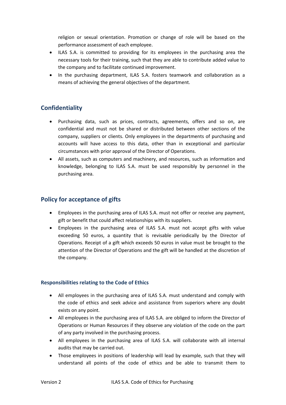religion or sexual orientation. Promotion or change of role will be based on the performance assessment of each employee.

- ILAS S.A. is committed to providing for its employees in the purchasing area the necessary tools for their training, such that they are able to contribute added value to the company and to facilitate continued improvement.
- In the purchasing department, ILAS S.A. fosters teamwork and collaboration as a means of achieving the general objectives of the department.

## **Confidentiality**

- Purchasing data, such as prices, contracts, agreements, offers and so on, are confidential and must not be shared or distributed between other sections of the company, suppliers or clients. Only employees in the departments of purchasing and accounts will have access to this data, other than in exceptional and particular circumstances with prior approval of the Director of Operations.
- All assets, such as computers and machinery, and resources, such as information and knowledge, belonging to ILAS S.A. must be used responsibly by personnel in the purchasing area.

## **Policy for acceptance of gifts**

- Employees in the purchasing area of ILAS S.A. must not offer or receive any payment, gift or benefit that could affect relationships with its suppliers.
- Employees in the purchasing area of ILAS S.A. must not accept gifts with value exceeding 50 euros, a quantity that is revisable periodically by the Director of Operations. Receipt of a gift which exceeds 50 euros in value must be brought to the attention of the Director of Operations and the gift will be handled at the discretion of the company.

#### **Responsibilities relating to the Code of Ethics**

- All employees in the purchasing area of ILAS S.A. must understand and comply with the code of ethics and seek advice and assistance from superiors where any doubt exists on any point.
- All employees in the purchasing area of ILAS S.A. are obliged to inform the Director of Operations or Human Resources if they observe any violation of the code on the part of any party involved in the purchasing process.
- All employees in the purchasing area of ILAS S.A. will collaborate with all internal audits that may be carried out.
- Those employees in positions of leadership will lead by example, such that they will understand all points of the code of ethics and be able to transmit them to